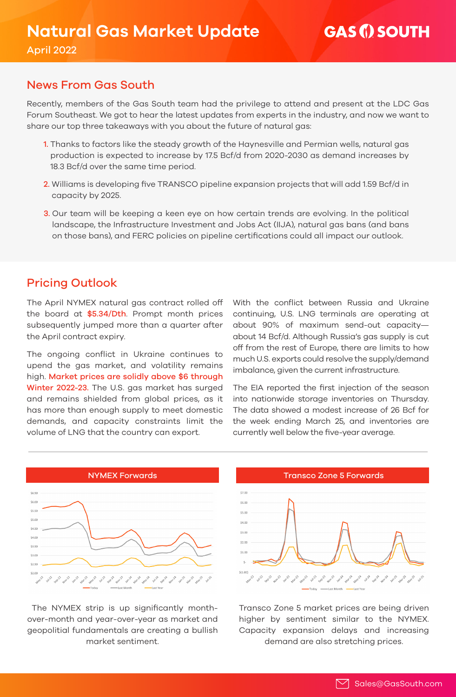### News From Gas South

Recently, members of the Gas South team had the privilege to attend and present at the LDC Gas Forum Southeast. We got to hear the latest updates from experts in the industry, and now we want to share our top three takeaways with you about the future of natural gas:

- 1. Thanks to factors like the steady growth of the Haynesville and Permian wells, natural gas production is expected to increase by 17.5 Bcf/d from 2020-2030 as demand increases by 18.3 Bcf/d over the same time period.
- 2. Williams is developing five TRANSCO pipeline expansion projects that will add 1.59 Bcf/d in capacity by 2025.
- 3. Our team will be keeping a keen eye on how certain trends are evolving. In the political landscape, the Infrastructure Investment and Jobs Act (IIJA), natural gas bans (and bans on those bans), and FERC policies on pipeline certifications could all impact our outlook.

# Pricing Outlook

The April NYMEX natural gas contract rolled off the board at \$5.34/Dth. Prompt month prices subsequently jumped more than a quarter after the April contract expiry.

The ongoing conflict in Ukraine continues to upend the gas market, and volatility remains high. Market prices are solidly above \$6 through Winter 2022-23. The U.S. gas market has surged and remains shielded from global prices, as it has more than enough supply to meet domestic demands, and capacity constraints limit the volume of LNG that the country can export.

With the conflict between Russia and Ukraine continuing, U.S. LNG terminals are operating at about 90% of maximum send-out capacity about 14 Bcf/d. Although Russia's gas supply is cut off from the rest of Europe, there are limits to how much U.S. exports could resolve the supply/demand imbalance, given the current infrastructure.

The EIA reported the first injection of the season into nationwide storage inventories on Thursday. The data showed a modest increase of 26 Bcf for the week ending March 25, and inventories are currently well below the five-year average.



 The NYMEX strip is up significantly monthover-month and year-over-year as market and geopolitial fundamentals are creating a bullish market sentiment.



Transco Zone 5 market prices are being driven higher by sentiment similar to the NYMEX. Capacity expansion delays and increasing demand are also stretching prices.